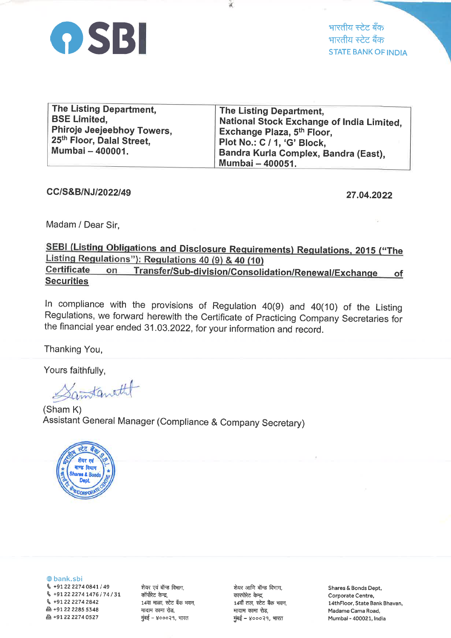

भारतीय स्टेट बँक भारतीय स्टेट बैंक **STATE BANK OF INDIA** 

| The Listing Department,               | The Listing Department,                   |
|---------------------------------------|-------------------------------------------|
| <b>BSE Limited.</b>                   | National Stock Exchange of India Limited, |
| Phiroje Jeejeebhoy Towers,            | Exchange Plaza, 5th Floor,                |
| 25 <sup>th</sup> Floor, Dalal Street, | Plot No.: C / 1, 'G' Block,               |
| Mumbai - 400001.                      | Bandra Kurla Complex, Bandra (East),      |
|                                       | Mumbai - 400051.                          |

CC/S&B/NJ/2022/49

27.04.2022

Madam / Dear Sir.

## SEBI (Listing Obligations and Disclosure Requirements) Regulations, 2015 ("The Listing Regulations"): Regulations 40 (9) & 40 (10) Certificate Transfer/Sub-division/Consolidation/Renewal/Exchange on of **Securities**

In compliance with the provisions of Regulation 40(9) and 40(10) of the Listing Regulations, we forward herewith the Certificate of Practicing Company Secretaries for the financial year ended 31.03.2022, for your information and record.

Thanking You,

Yours faithfully,

amtanatht

(Sham K) Assistant General Manager (Compliance & Company Secretary)



**O**bank.sbi

& +91 22 2274 0841 / 49 & +91 22 2274 1476 / 74 / 31 € +91 22 2274 2842 凸 +91 22 2285 5348 凸+912222740527

शेयर एवं बॉन्ड विभाग, कॉर्पोरेट केन्द्र, 14वा माळा, स्टेट बँक भवन, मादाम कामा रोड, मुंबई – ४०००२१, भारत

शेयर आणि बॉन्ड विभाग, कारपोरेट केन्द्र, 14वाँ तल, स्टेट बैंक भवन, मादाम कामा रोड, मुंबई – ४०००२१, भारत

Shares & Bonds Dept, Corporate Centre, 14thFloor, State Bank Bhavan, Madame Cama Road. Mumbai - 400021, India

X